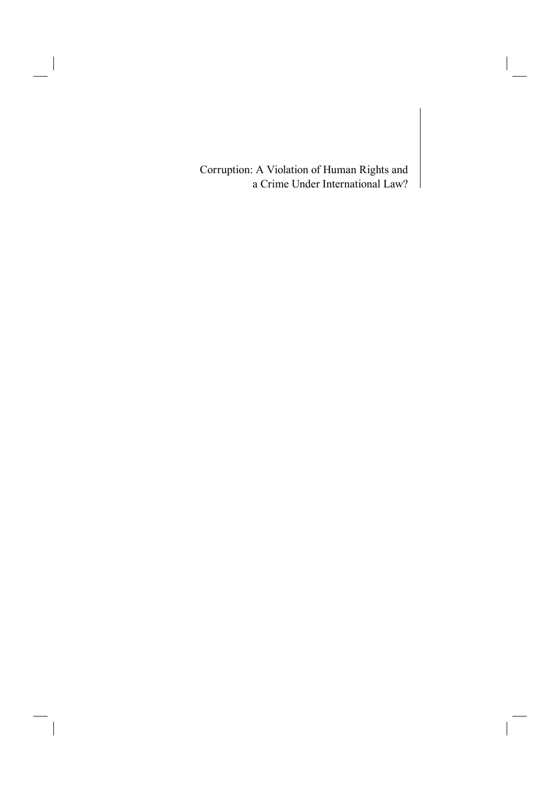Corruption: A Violation of Human Rights and a Crime Under International Law?

 $\overline{\phantom{a}}$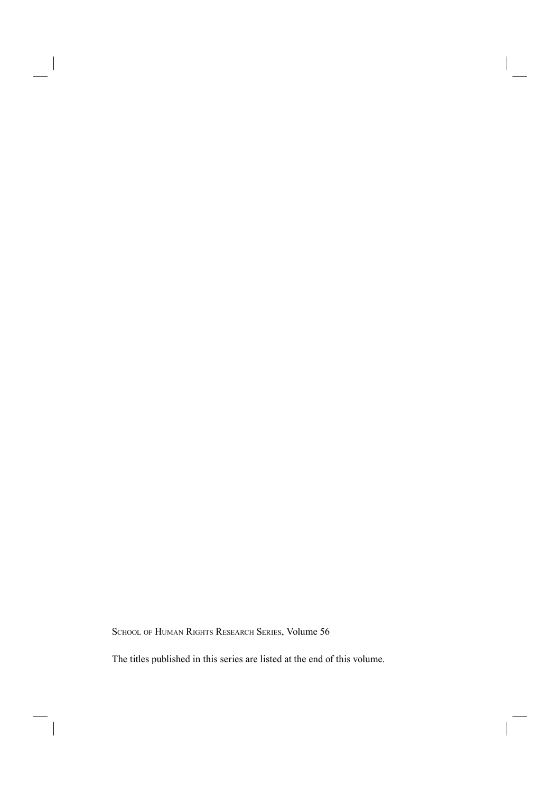SCHOOL OF HUMAN RIGHTS RESEARCH SERIES, Volume 56

The titles published in this series are listed at the end of this volume.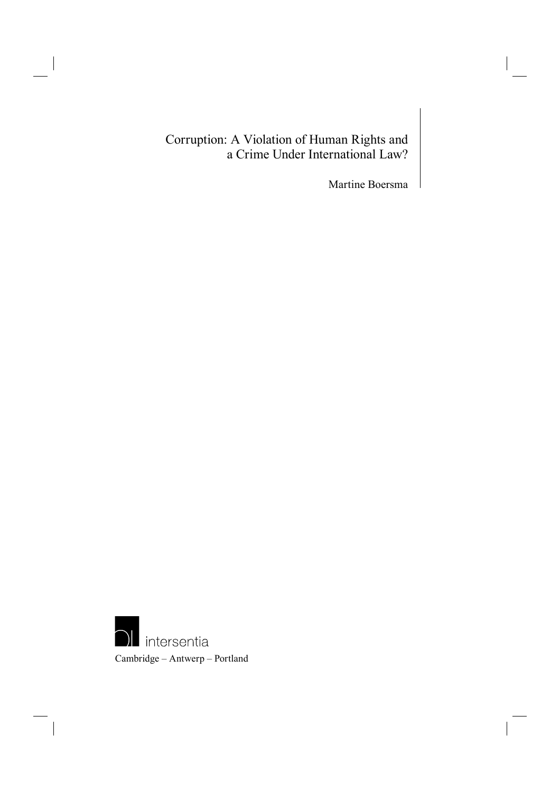# Corruption: A Violation of Human Rights and a Crime Under International Law?

Martine Boersma

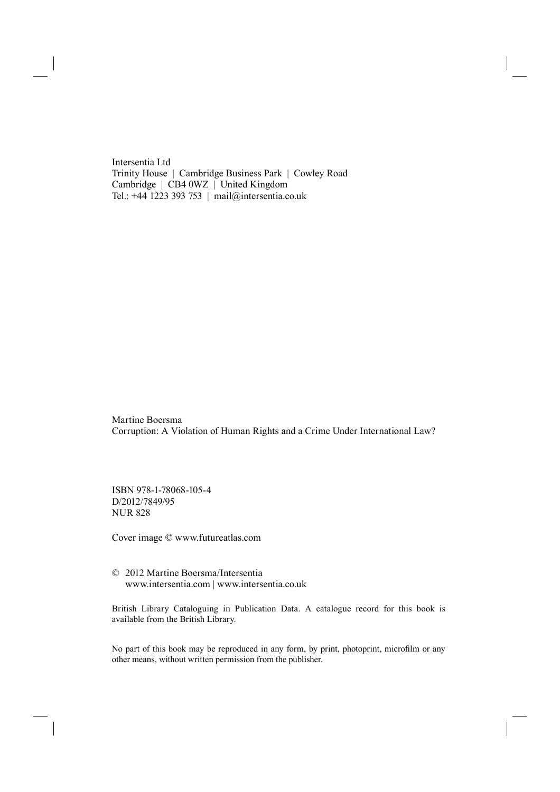Intersentia Ltd Trinity House | Cambridge Business Park | Cowley Road Cambridge | CB4 0WZ | United Kingdom Tel.: +44 1223 393 753 | mail@intersentia.co.uk

Martine Boersma Corruption: A Violation of Human Rights and a Crime Under International Law?

ISBN 978-1-78068-105-4 D/2012/7849/95 NUR 828

Cover image © www.futureatlas.com

© 2012 Martine Boersma/Intersentia www.intersentia.com | www.intersentia.co.uk

British Library Cataloguing in Publication Data. A catalogue record for this book is available from the British Library.

No part of this book may be reproduced in any form, by print, photoprint, microfilm or any other means, without written permission from the publisher.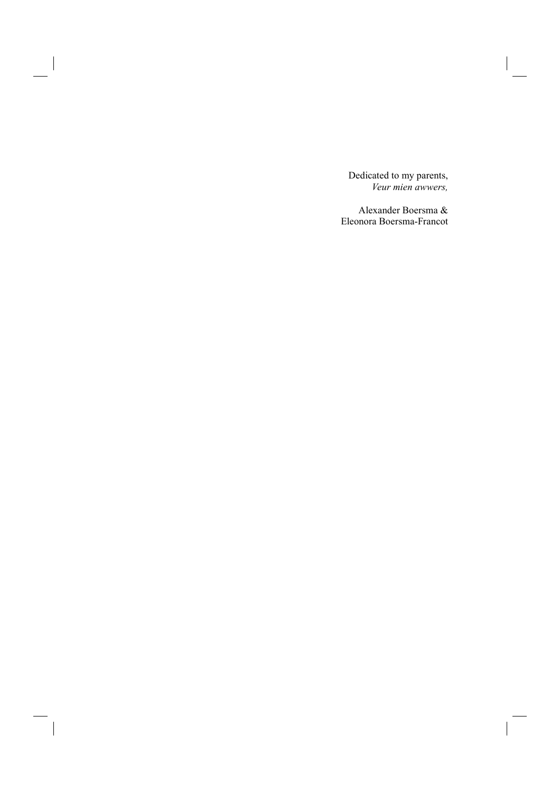Dedicated to my parents, *Veur mien awwers,*

Alexander Boersma & Eleonora Boersma-Francot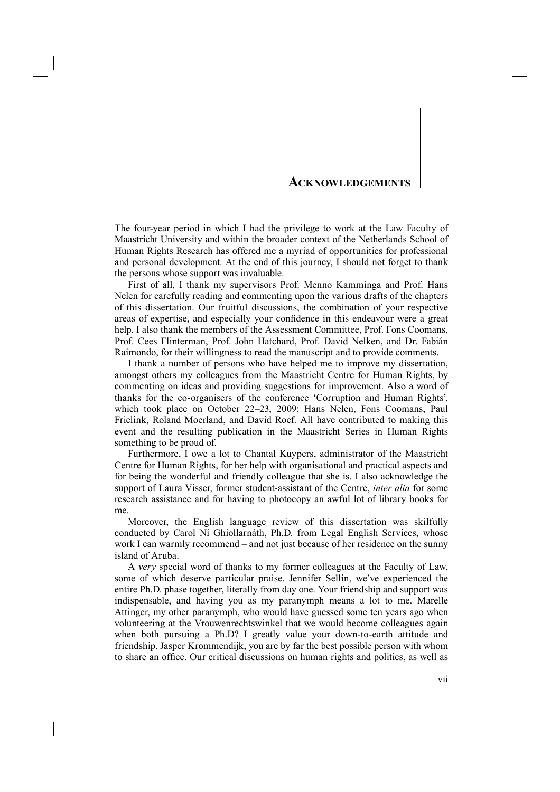### **ACKNOWLEDGEMENTS**

The four-year period in which I had the privilege to work at the Law Faculty of Maastricht University and within the broader context of the Netherlands School of Human Rights Research has offered me a myriad of opportunities for professional and personal development. At the end of this journey, I should not forget to thank the persons whose support was invaluable.

First of all, I thank my supervisors Prof. Menno Kamminga and Prof. Hans Nelen for carefully reading and commenting upon the various drafts of the chapters of this dissertation. Our fruitful discussions, the combination of your respective areas of expertise, and especially your confidence in this endeavour were a great help. I also thank the members of the Assessment Committee, Prof. Fons Coomans, Prof. Cees Flinterman, Prof. John Hatchard, Prof. David Nelken, and Dr. Fabián Raimondo, for their willingness to read the manuscript and to provide comments.

I thank a number of persons who have helped me to improve my dissertation, amongst others my colleagues from the Maastricht Centre for Human Rights, by commenting on ideas and providing suggestions for improvement. Also a word of thanks for the co-organisers of the conference 'Corruption and Human Rights', which took place on October 22–23, 2009: Hans Nelen, Fons Coomans, Paul Frielink, Roland Moerland, and David Roef. All have contributed to making this event and the resulting publication in the Maastricht Series in Human Rights something to be proud of.

Furthermore, I owe a lot to Chantal Kuypers, administrator of the Maastricht Centre for Human Rights, for her help with organisational and practical aspects and for being the wonderful and friendly colleague that she is. I also acknowledge the support of Laura Visser, former student-assistant of the Centre, *inter alia* for some research assistance and for having to photocopy an awful lot of library books for me.

Moreover, the English language review of this dissertation was skilfully conducted by Carol Ní Ghiollarnáth, Ph.D. from Legal English Services, whose work I can warmly recommend – and not just because of her residence on the sunny island of Aruba.

A *very* special word of thanks to my former colleagues at the Faculty of Law, some of which deserve particular praise. Jennifer Sellin, we've experienced the entire Ph.D. phase together, literally from day one. Your friendship and support was indispensable, and having you as my paranymph means a lot to me. Marelle Attinger, my other paranymph, who would have guessed some ten years ago when volunteering at the Vrouwenrechtswinkel that we would become colleagues again when both pursuing a Ph.D? I greatly value your down-to-earth attitude and friendship. Jasper Krommendijk, you are by far the best possible person with whom to share an office. Our critical discussions on human rights and politics, as well as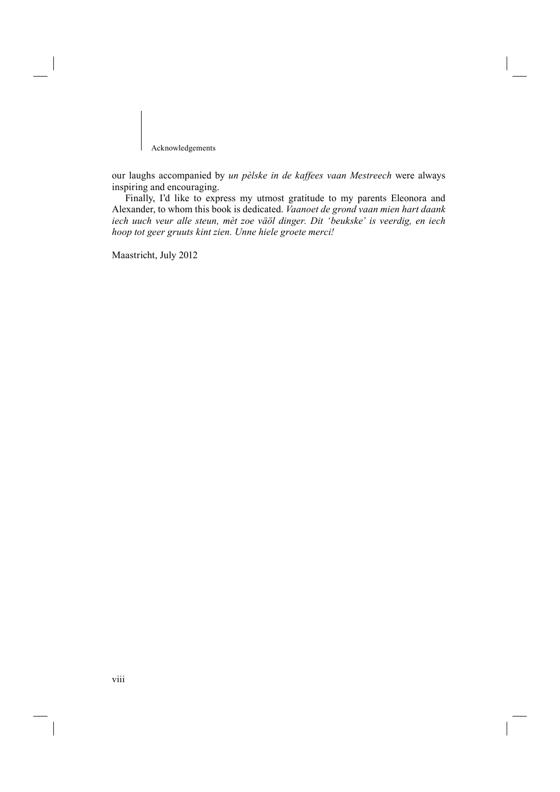Acknowledgements

our laughs accompanied by *un pèlske in de kaffees vaan Mestreech* were always inspiring and encouraging.

Finally, I'd like to express my utmost gratitude to my parents Eleonora and Alexander, to whom this book is dedicated. *Vaanoet de grond vaan mien hart daank iech uuch veur alle steun, mèt zoe väöl dinger. Dit 'beukske' is veerdig, en iech hoop tot geer gruuts kint zien. Unne hiele groete merci!*

Maastricht, July 2012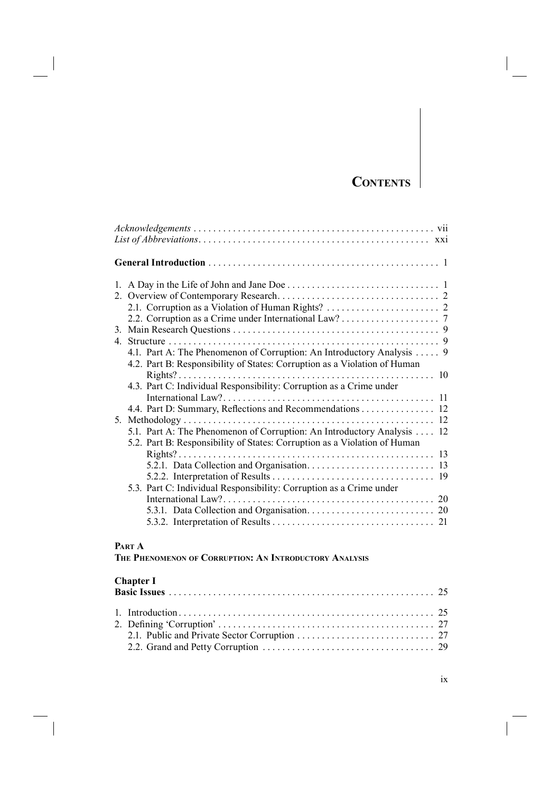# **CONTENTS**

| 4.1. Part A: The Phenomenon of Corruption: An Introductory Analysis  9    |
|---------------------------------------------------------------------------|
| 4.2. Part B: Responsibility of States: Corruption as a Violation of Human |
|                                                                           |
| 4.3. Part C: Individual Responsibility: Corruption as a Crime under       |
|                                                                           |
| 12<br>4.4. Part D: Summary, Reflections and Recommendations               |
| 12                                                                        |
| 5.1. Part A: The Phenomenon of Corruption: An Introductory Analysis<br>12 |
| 5.2. Part B: Responsibility of States: Corruption as a Violation of Human |
|                                                                           |
|                                                                           |
|                                                                           |
| 5.3. Part C: Individual Responsibility: Corruption as a Crime under       |
|                                                                           |
|                                                                           |
|                                                                           |
|                                                                           |

# **PART A**

**THE PHENOMENON OF CORRUPTION: AN INTRODUCTORY ANALYSIS**

## **Chapter I**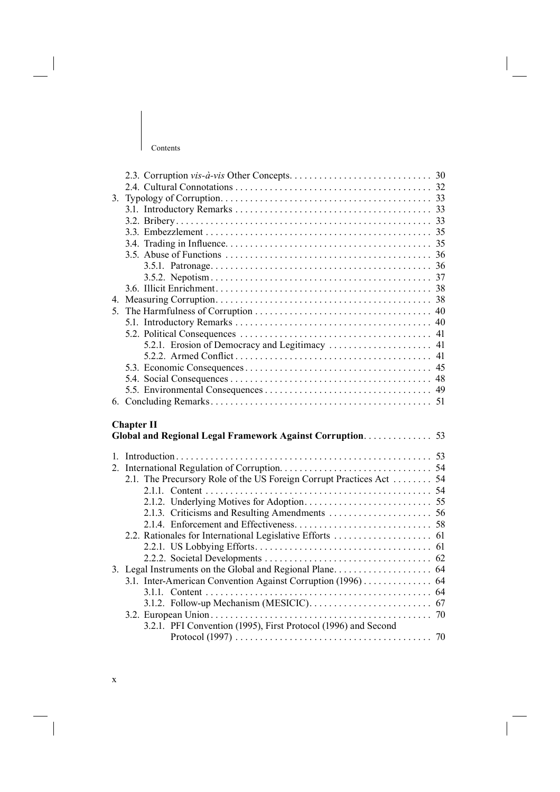| 3.<br>5.<br><b>Chapter II</b><br>2.1. The Precursory Role of the US Foreign Corrupt Practices Act  54 |
|-------------------------------------------------------------------------------------------------------|
|                                                                                                       |
|                                                                                                       |
|                                                                                                       |
|                                                                                                       |
|                                                                                                       |
|                                                                                                       |
|                                                                                                       |
|                                                                                                       |
|                                                                                                       |
|                                                                                                       |
|                                                                                                       |
|                                                                                                       |
|                                                                                                       |
|                                                                                                       |
|                                                                                                       |
|                                                                                                       |
|                                                                                                       |
|                                                                                                       |
|                                                                                                       |
|                                                                                                       |
|                                                                                                       |
|                                                                                                       |
|                                                                                                       |
|                                                                                                       |
|                                                                                                       |
|                                                                                                       |
|                                                                                                       |
|                                                                                                       |
|                                                                                                       |
|                                                                                                       |
|                                                                                                       |
|                                                                                                       |
|                                                                                                       |
|                                                                                                       |
|                                                                                                       |
| 3.1. Inter-American Convention Against Corruption (1996) 64                                           |
|                                                                                                       |
|                                                                                                       |
|                                                                                                       |
| 3.2.1. PFI Convention (1995), First Protocol (1996) and Second                                        |
|                                                                                                       |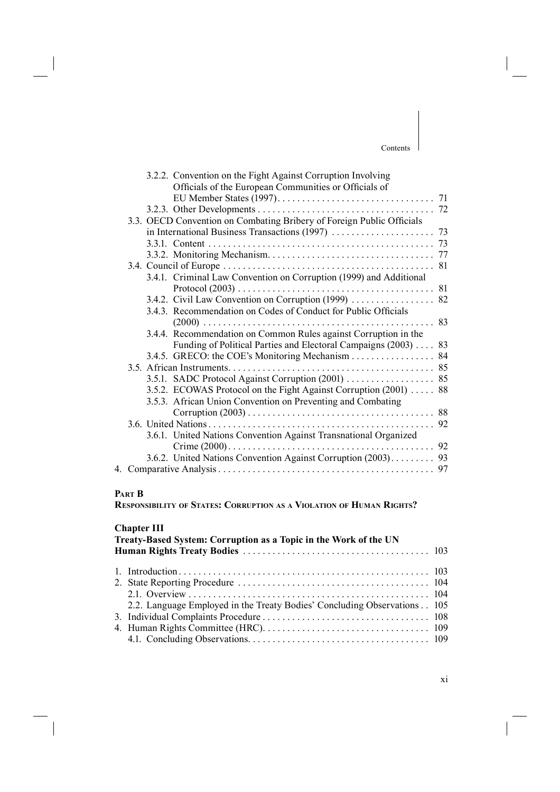|  | 3.2.2. Convention on the Fight Against Corruption Involving           |    |
|--|-----------------------------------------------------------------------|----|
|  | Officials of the European Communities or Officials of                 |    |
|  |                                                                       |    |
|  |                                                                       |    |
|  | 3.3. OECD Convention on Combating Bribery of Foreign Public Officials |    |
|  |                                                                       |    |
|  |                                                                       |    |
|  |                                                                       |    |
|  |                                                                       | 81 |
|  | 3.4.1. Criminal Law Convention on Corruption (1999) and Additional    |    |
|  |                                                                       |    |
|  | 3.4.2. Civil Law Convention on Corruption (1999)                      | 82 |
|  | 3.4.3. Recommendation on Codes of Conduct for Public Officials        |    |
|  |                                                                       | 83 |
|  | 3.4.4. Recommendation on Common Rules against Corruption in the       |    |
|  | Funding of Political Parties and Electoral Campaigns (2003)           | 83 |
|  | 3.4.5. GRECO: the COE's Monitoring Mechanism 84                       |    |
|  |                                                                       |    |
|  | 3.5.1. SADC Protocol Against Corruption (2001) 85                     |    |
|  | 3.5.2. ECOWAS Protocol on the Fight Against Corruption (2001)  88     |    |
|  | 3.5.3. African Union Convention on Preventing and Combating           |    |
|  |                                                                       |    |
|  |                                                                       | 92 |
|  | 3.6.1. United Nations Convention Against Transnational Organized      |    |
|  |                                                                       | 92 |
|  | 3.6.2. United Nations Convention Against Corruption (2003).           | 93 |
|  |                                                                       |    |
|  |                                                                       |    |

## **PART B**

**RESPONSIBILITY OF STATES: CORRUPTION AS A VIOLATION OF HUMAN RIGHTS?**

## **Chapter III**

| Treaty-Based System: Corruption as a Topic in the Work of the UN |                                                                          |  |  |
|------------------------------------------------------------------|--------------------------------------------------------------------------|--|--|
|                                                                  |                                                                          |  |  |
|                                                                  |                                                                          |  |  |
|                                                                  |                                                                          |  |  |
|                                                                  |                                                                          |  |  |
|                                                                  | 2.2. Language Employed in the Treaty Bodies' Concluding Observations 105 |  |  |
|                                                                  |                                                                          |  |  |
|                                                                  |                                                                          |  |  |
|                                                                  |                                                                          |  |  |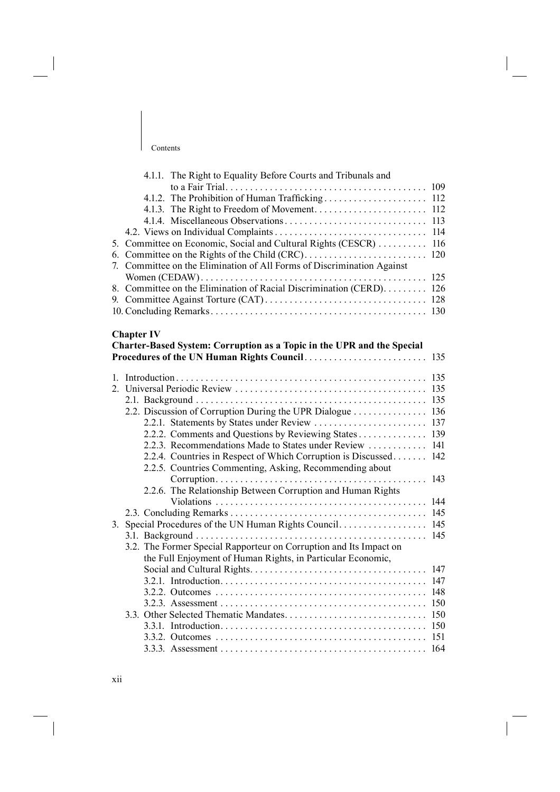|    | 4.1.1. The Right to Equality Before Courts and Tribunals and                                                |     |
|----|-------------------------------------------------------------------------------------------------------------|-----|
|    |                                                                                                             |     |
|    |                                                                                                             |     |
|    |                                                                                                             |     |
|    |                                                                                                             | 113 |
|    |                                                                                                             | 114 |
| 5. | Committee on Economic, Social and Cultural Rights (CESCR)                                                   | 116 |
|    |                                                                                                             | 120 |
|    | 7. Committee on the Elimination of All Forms of Discrimination Against                                      |     |
|    |                                                                                                             | 125 |
|    | 8. Committee on the Elimination of Racial Discrimination (CERD). 126                                        |     |
|    |                                                                                                             |     |
|    |                                                                                                             |     |
|    |                                                                                                             |     |
|    | <b>Chapter IV</b>                                                                                           |     |
|    | Charter-Based System: Corruption as a Topic in the UPR and the Special                                      |     |
|    |                                                                                                             | 135 |
|    |                                                                                                             | 135 |
|    |                                                                                                             | 135 |
|    |                                                                                                             | 135 |
|    | 2.2. Discussion of Corruption During the UPR Dialogue 136                                                   |     |
|    |                                                                                                             |     |
|    |                                                                                                             |     |
|    | 2.2.2. Comments and Questions by Reviewing States 139<br>2.2.3. Recommendations Made to States under Review | 141 |
|    | 2.2.4. Countries in Respect of Which Corruption is Discussed                                                | 142 |
|    | 2.2.5. Countries Commenting, Asking, Recommending about                                                     |     |
|    |                                                                                                             | 143 |
|    | 2.2.6. The Relationship Between Corruption and Human Rights                                                 |     |
|    |                                                                                                             | 144 |
|    |                                                                                                             |     |
|    |                                                                                                             |     |
|    |                                                                                                             | 145 |
|    | 3.2. The Former Special Rapporteur on Corruption and Its Impact on                                          |     |
|    | the Full Enjoyment of Human Rights, in Particular Economic,                                                 |     |
|    |                                                                                                             | 147 |
|    |                                                                                                             |     |
|    |                                                                                                             |     |
|    |                                                                                                             |     |
|    |                                                                                                             |     |
|    |                                                                                                             |     |
|    |                                                                                                             |     |
|    |                                                                                                             |     |

3.3.3. Assessment . . . . . . . . . . . . . . . . . . . . . . . . . . . . . . . . . . . . . . . . . . 164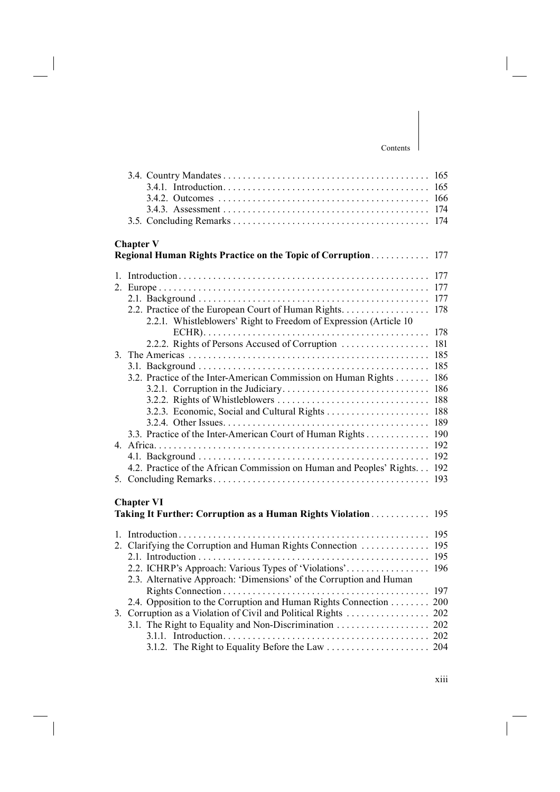|                                                                      | 165 |
|----------------------------------------------------------------------|-----|
|                                                                      | 165 |
|                                                                      | 166 |
|                                                                      | 174 |
|                                                                      | 174 |
|                                                                      |     |
| <b>Chapter V</b>                                                     |     |
| Regional Human Rights Practice on the Topic of Corruption            | 177 |
|                                                                      |     |
|                                                                      | 177 |
|                                                                      | 177 |
|                                                                      | 177 |
| 2.2. Practice of the European Court of Human Rights.                 | 178 |
| 2.2.1. Whistleblowers' Right to Freedom of Expression (Article 10)   |     |
|                                                                      | 178 |
| 2.2.2. Rights of Persons Accused of Corruption                       | 181 |
|                                                                      | 185 |
|                                                                      | 185 |
| 3.2. Practice of the Inter-American Commission on Human Rights       | 186 |
|                                                                      | 186 |
|                                                                      | 188 |
|                                                                      | 188 |
|                                                                      | 189 |
| 3.3. Practice of the Inter-American Court of Human Rights            | 190 |
|                                                                      | 192 |
|                                                                      | 192 |
| 4.2. Practice of the African Commission on Human and Peoples' Rights | 192 |
|                                                                      | 193 |
|                                                                      |     |
| <b>Chapter VI</b>                                                    |     |
| Taking It Further: Corruption as a Human Rights Violation            | 195 |
|                                                                      |     |
|                                                                      | 195 |
| 2. Clarifying the Corruption and Human Rights Connection             | 195 |
|                                                                      | 195 |
| 2.2. ICHRP's Approach: Various Types of 'Violations'                 | 196 |
| 2.3. Alternative Approach: 'Dimensions' of the Corruption and Human  |     |
|                                                                      | 197 |
| 2.4. Opposition to the Corruption and Human Rights Connection        | 200 |
| 3. Corruption as a Violation of Civil and Political Rights           | 202 |
|                                                                      |     |
|                                                                      |     |
|                                                                      |     |
|                                                                      |     |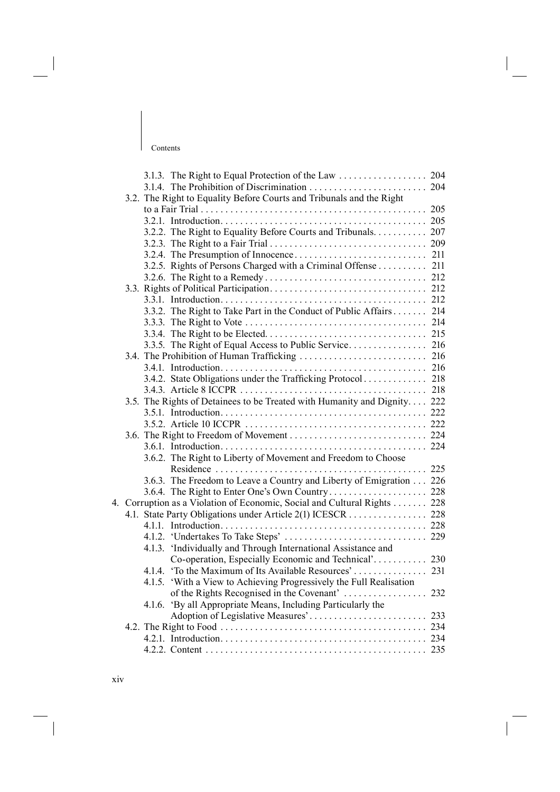|    |        | 3.1.3. The Right to Equal Protection of the Law 204                      |  |
|----|--------|--------------------------------------------------------------------------|--|
|    |        |                                                                          |  |
|    |        | 3.2. The Right to Equality Before Courts and Tribunals and the Right     |  |
|    |        |                                                                          |  |
|    |        |                                                                          |  |
|    |        | 3.2.2. The Right to Equality Before Courts and Tribunals. 207            |  |
|    |        |                                                                          |  |
|    |        |                                                                          |  |
|    |        | 3.2.5. Rights of Persons Charged with a Criminal Offense 211             |  |
|    |        |                                                                          |  |
|    |        |                                                                          |  |
|    |        |                                                                          |  |
|    |        | 3.3.2. The Right to Take Part in the Conduct of Public Affairs 214       |  |
|    |        |                                                                          |  |
|    |        |                                                                          |  |
|    |        |                                                                          |  |
|    |        |                                                                          |  |
|    |        |                                                                          |  |
|    |        |                                                                          |  |
|    |        |                                                                          |  |
|    |        | 3.5. The Rights of Detainees to be Treated with Humanity and Dignity 222 |  |
|    |        |                                                                          |  |
|    |        |                                                                          |  |
|    |        |                                                                          |  |
|    |        |                                                                          |  |
|    |        | 3.6.2. The Right to Liberty of Movement and Freedom to Choose            |  |
|    |        |                                                                          |  |
|    |        | 3.6.3. The Freedom to Leave a Country and Liberty of Emigration 226      |  |
|    |        |                                                                          |  |
| 4. |        | Corruption as a Violation of Economic, Social and Cultural Rights 228    |  |
|    |        | 4.1. State Party Obligations under Article 2(1) ICESCR 228               |  |
|    |        |                                                                          |  |
|    |        |                                                                          |  |
|    |        | 4.1.3. 'Individually and Through International Assistance and            |  |
|    |        |                                                                          |  |
|    |        |                                                                          |  |
|    | 4.1.5. | 'With a View to Achieving Progressively the Full Realisation             |  |
|    |        |                                                                          |  |
|    |        | 4.1.6. 'By all Appropriate Means, Including Particularly the             |  |
|    |        |                                                                          |  |
|    |        |                                                                          |  |
|    |        |                                                                          |  |
|    |        |                                                                          |  |
|    |        |                                                                          |  |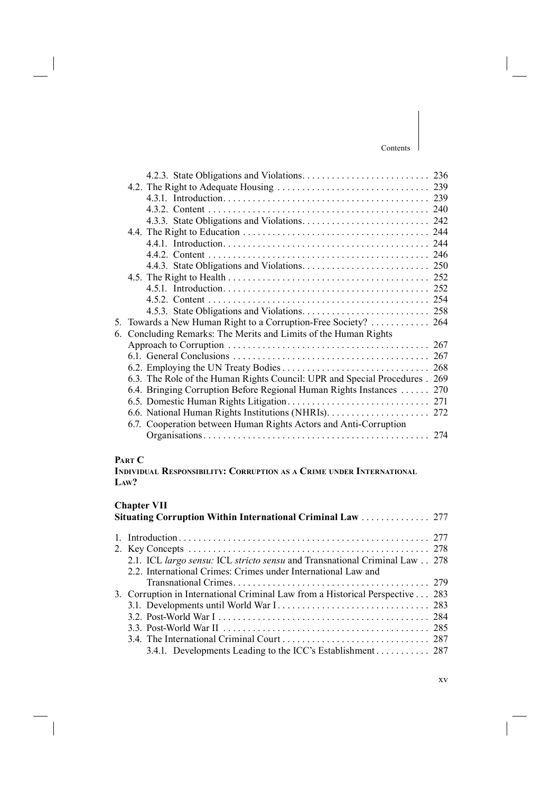| 5. | Towards a New Human Right to a Corruption-Free Society?  264                |     |
|----|-----------------------------------------------------------------------------|-----|
| 6. | Concluding Remarks: The Merits and Limits of the Human Rights               |     |
|    |                                                                             |     |
|    |                                                                             |     |
|    |                                                                             | 268 |
|    | 6.3. The Role of the Human Rights Council: UPR and Special Procedures . 269 |     |
|    | 6.4. Bringing Corruption Before Regional Human Rights Instances  270        |     |
|    |                                                                             |     |
|    |                                                                             |     |
|    | 6.7. Cooperation between Human Rights Actors and Anti-Corruption            |     |
|    |                                                                             |     |

## **PART C**

**INDIVIDUAL RESPONSIBILITY: CORRUPTION AS A CRIME UNDER INTERNATIONAL LAW?**

## **Chapter VII**

| Situating Corruption Within International Criminal Law  277                   |  |  |
|-------------------------------------------------------------------------------|--|--|
|                                                                               |  |  |
|                                                                               |  |  |
| 2.1. ICL largo sensu: ICL stricto sensu and Transnational Criminal Law 278    |  |  |
| 2.2. International Crimes: Crimes under International Law and                 |  |  |
|                                                                               |  |  |
| 3. Corruption in International Criminal Law from a Historical Perspective 283 |  |  |
|                                                                               |  |  |
|                                                                               |  |  |
|                                                                               |  |  |
|                                                                               |  |  |
| 3.4.1. Developments Leading to the ICC's Establishment 287                    |  |  |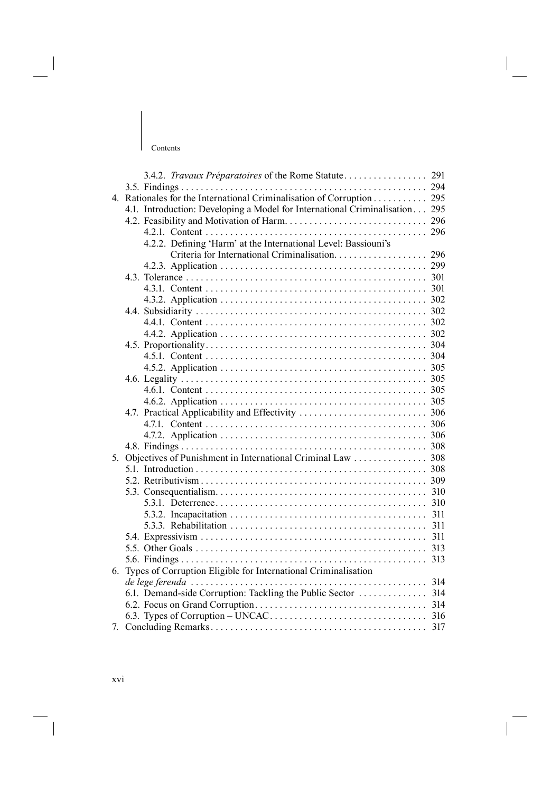| Contents |  |
|----------|--|

|             | 3.4.2. Travaux Préparatoires of the Rome Statute                            | 291 |
|-------------|-----------------------------------------------------------------------------|-----|
|             |                                                                             |     |
| $4_{\cdot}$ | Rationales for the International Criminalisation of Corruption 295          |     |
|             | 4.1. Introduction: Developing a Model for International Criminalisation 295 |     |
|             |                                                                             |     |
|             |                                                                             |     |
|             | 4.2.2. Defining 'Harm' at the International Level: Bassiouni's              |     |
|             |                                                                             |     |
|             |                                                                             |     |
|             |                                                                             |     |
|             |                                                                             |     |
|             |                                                                             |     |
|             |                                                                             |     |
|             |                                                                             |     |
|             |                                                                             |     |
|             |                                                                             |     |
|             |                                                                             |     |
|             |                                                                             |     |
|             |                                                                             |     |
|             |                                                                             |     |
|             |                                                                             |     |
|             |                                                                             |     |
|             |                                                                             |     |
|             |                                                                             |     |
|             |                                                                             |     |
| 5.          |                                                                             |     |
|             |                                                                             |     |
|             |                                                                             |     |
|             |                                                                             |     |
|             |                                                                             | 310 |
|             |                                                                             | 311 |
|             |                                                                             |     |
|             |                                                                             | 311 |
|             |                                                                             | 313 |
|             |                                                                             |     |
| 6.          | Types of Corruption Eligible for International Criminalisation              |     |
|             | de lege ferenda                                                             |     |
|             |                                                                             |     |
|             |                                                                             |     |
|             |                                                                             |     |
| 7.          |                                                                             |     |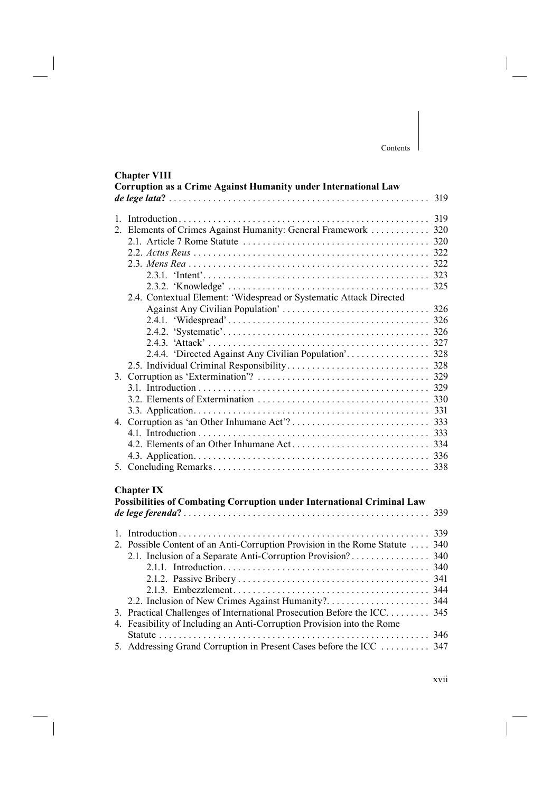## **Chapter VIII**

| Corruption as a Crime Against Humanity under International Law               | 319 |
|------------------------------------------------------------------------------|-----|
|                                                                              |     |
| 2. Elements of Crimes Against Humanity: General Framework  320               |     |
|                                                                              |     |
|                                                                              |     |
|                                                                              |     |
|                                                                              |     |
|                                                                              |     |
| 2.4. Contextual Element: 'Widespread or Systematic Attack Directed           |     |
|                                                                              |     |
|                                                                              |     |
|                                                                              |     |
|                                                                              |     |
|                                                                              |     |
|                                                                              |     |
|                                                                              |     |
|                                                                              |     |
|                                                                              |     |
|                                                                              |     |
|                                                                              |     |
|                                                                              |     |
|                                                                              |     |
|                                                                              |     |
|                                                                              |     |
|                                                                              |     |
| <b>Chapter IX</b>                                                            |     |
| Possibilities of Combating Corruption under International Criminal Law       |     |
|                                                                              | 339 |
|                                                                              |     |
| 2. Possible Content of an Anti-Corruption Provision in the Rome Statute  340 |     |
|                                                                              |     |
|                                                                              |     |
|                                                                              |     |
|                                                                              |     |
|                                                                              |     |
| 3. Practical Challenges of International Prosecution Before the ICC 345      |     |
| 4. Feasibility of Including an Anti-Corruption Provision into the Rome       |     |
|                                                                              |     |
| 5. Addressing Grand Corruption in Present Cases before the ICC  347          |     |
|                                                                              |     |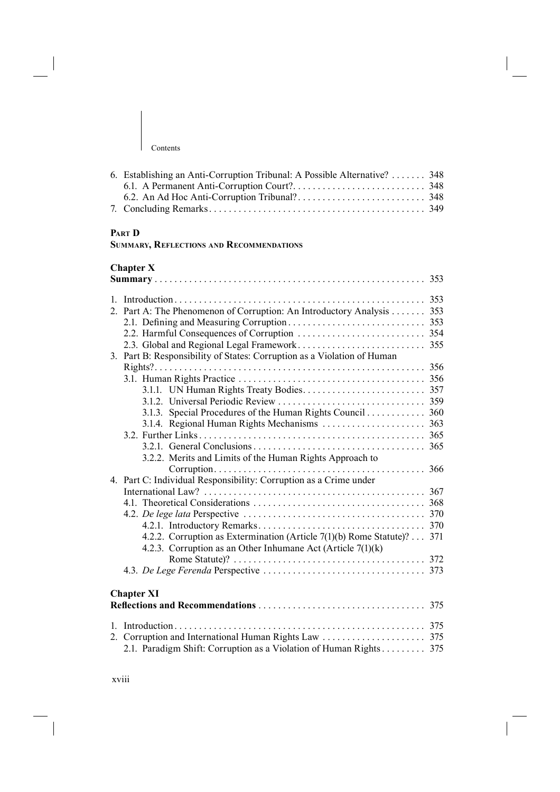| 6. Establishing an Anti-Corruption Tribunal: A Possible Alternative? 348 |  |
|--------------------------------------------------------------------------|--|
|                                                                          |  |
|                                                                          |  |
|                                                                          |  |
|                                                                          |  |

# **PART D**

|  |  | SUMMARY, REFLECTIONS AND RECOMMENDATIONS |  |
|--|--|------------------------------------------|--|
|--|--|------------------------------------------|--|

## **Chapter X**

| $\mathbf{1}$ |                                                                         | 353 |
|--------------|-------------------------------------------------------------------------|-----|
|              | 2. Part A: The Phenomenon of Corruption: An Introductory Analysis 353   |     |
|              |                                                                         |     |
|              |                                                                         |     |
|              |                                                                         | 355 |
|              | 3. Part B: Responsibility of States: Corruption as a Violation of Human |     |
|              |                                                                         |     |
|              |                                                                         |     |
|              |                                                                         |     |
|              |                                                                         |     |
|              | 3.1.3. Special Procedures of the Human Rights Council 360               |     |
|              |                                                                         |     |
|              |                                                                         |     |
|              |                                                                         |     |
|              | 3.2.2. Merits and Limits of the Human Rights Approach to                |     |
|              |                                                                         | 366 |
|              | 4. Part C: Individual Responsibility: Corruption as a Crime under       |     |
|              |                                                                         |     |
|              |                                                                         |     |
|              |                                                                         |     |
|              |                                                                         |     |
|              | 4.2.2. Corruption as Extermination (Article 7(1)(b) Rome Statute)? 371  |     |
|              | 4.2.3. Corruption as an Other Inhumane Act (Article $7(1)(k)$ )         |     |
|              |                                                                         |     |
|              |                                                                         |     |
|              |                                                                         |     |
|              | <b>Chapter XI</b>                                                       |     |
|              |                                                                         |     |
|              |                                                                         |     |
|              |                                                                         |     |
|              | 2.1. Paradigm Shift: Corruption as a Violation of Human Rights 375      |     |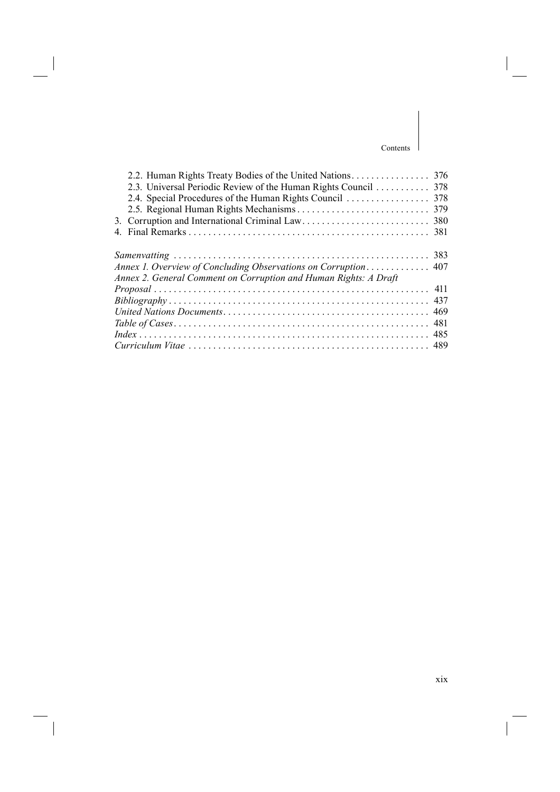| Annex 2. General Comment on Corruption and Human Rights: A Draft |  |
|------------------------------------------------------------------|--|
|                                                                  |  |
|                                                                  |  |
|                                                                  |  |
|                                                                  |  |
|                                                                  |  |
|                                                                  |  |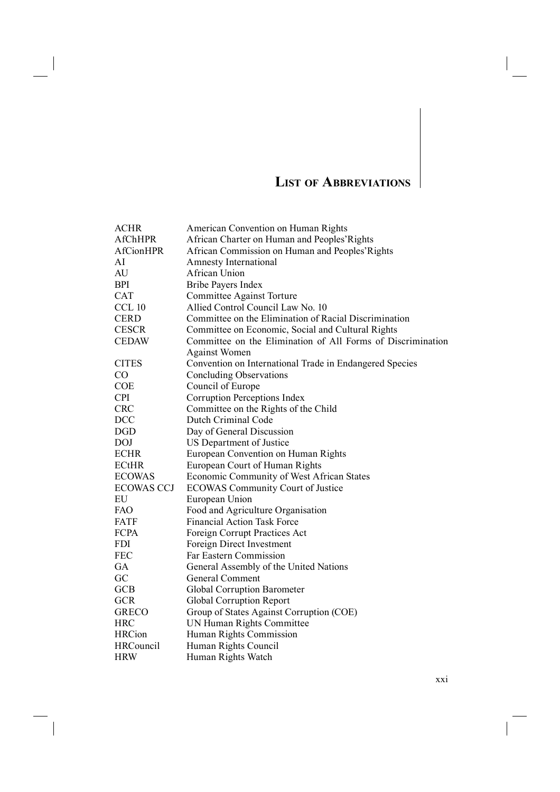# **LIST OF ABBREVIATIONS**

| <b>ACHR</b>       | American Convention on Human Rights                         |
|-------------------|-------------------------------------------------------------|
| <b>AfChHPR</b>    | African Charter on Human and Peoples' Rights                |
| <b>AfCionHPR</b>  | African Commission on Human and Peoples' Rights             |
| AI                | <b>Amnesty International</b>                                |
| AU                | <b>African Union</b>                                        |
| <b>BPI</b>        | Bribe Payers Index                                          |
| <b>CAT</b>        | Committee Against Torture                                   |
| CCL 10            | Allied Control Council Law No. 10                           |
| <b>CERD</b>       | Committee on the Elimination of Racial Discrimination       |
| <b>CESCR</b>      | Committee on Economic, Social and Cultural Rights           |
| <b>CEDAW</b>      | Committee on the Elimination of All Forms of Discrimination |
|                   | <b>Against Women</b>                                        |
| <b>CITES</b>      | Convention on International Trade in Endangered Species     |
| CO                | <b>Concluding Observations</b>                              |
| <b>COE</b>        | Council of Europe                                           |
| <b>CPI</b>        | Corruption Perceptions Index                                |
| <b>CRC</b>        | Committee on the Rights of the Child                        |
| <b>DCC</b>        | Dutch Criminal Code                                         |
| DGD               | Day of General Discussion                                   |
| <b>DOJ</b>        | US Department of Justice                                    |
| <b>ECHR</b>       | European Convention on Human Rights                         |
| <b>ECtHR</b>      | European Court of Human Rights                              |
| <b>ECOWAS</b>     | Economic Community of West African States                   |
| <b>ECOWAS CCJ</b> | <b>ECOWAS Community Court of Justice</b>                    |
| EU                | European Union                                              |
| <b>FAO</b>        | Food and Agriculture Organisation                           |
| <b>FATF</b>       | <b>Financial Action Task Force</b>                          |
| <b>FCPA</b>       | Foreign Corrupt Practices Act                               |
| <b>FDI</b>        | Foreign Direct Investment                                   |
| <b>FEC</b>        | Far Eastern Commission                                      |
| GA                | General Assembly of the United Nations                      |
| GC                | <b>General Comment</b>                                      |
| <b>GCB</b>        | <b>Global Corruption Barometer</b>                          |
| <b>GCR</b>        | Global Corruption Report                                    |
| <b>GRECO</b>      | Group of States Against Corruption (COE)                    |
| <b>HRC</b>        | UN Human Rights Committee                                   |
| <b>HRCion</b>     | Human Rights Commission                                     |
| <b>HRCouncil</b>  | Human Rights Council                                        |
| <b>HRW</b>        | Human Rights Watch                                          |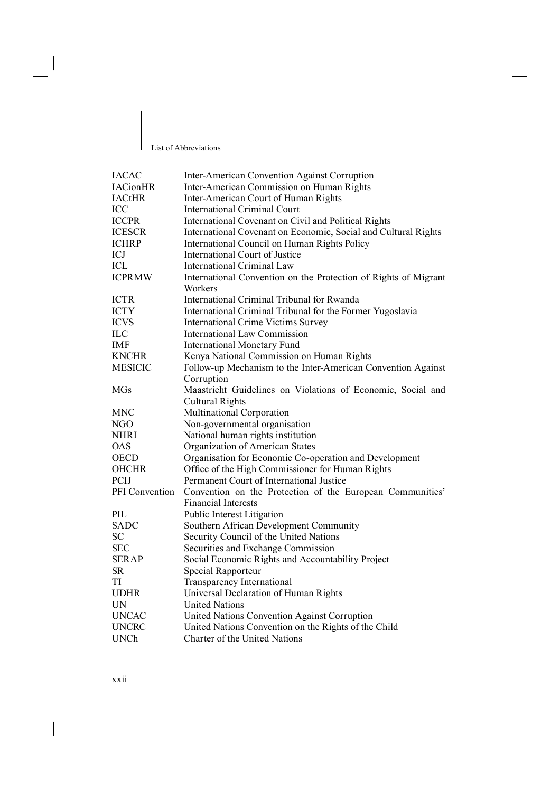#### List of Abbreviations

 $\overline{\phantom{a}}$ 

| <b>IACAC</b>    | Inter-American Convention Against Corruption                    |
|-----------------|-----------------------------------------------------------------|
| <b>IACionHR</b> | Inter-American Commission on Human Rights                       |
| <b>IACtHR</b>   | Inter-American Court of Human Rights                            |
| ICC             | International Criminal Court                                    |
| <b>ICCPR</b>    | International Covenant on Civil and Political Rights            |
| <b>ICESCR</b>   | International Covenant on Economic, Social and Cultural Rights  |
| <b>ICHRP</b>    | International Council on Human Rights Policy                    |
| ICJ             | International Court of Justice                                  |
| ICL             | <b>International Criminal Law</b>                               |
| <b>ICPRMW</b>   | International Convention on the Protection of Rights of Migrant |
|                 | Workers                                                         |
| <b>ICTR</b>     | International Criminal Tribunal for Rwanda                      |
| <b>ICTY</b>     | International Criminal Tribunal for the Former Yugoslavia       |
| <b>ICVS</b>     | <b>International Crime Victims Survey</b>                       |
| <b>ILC</b>      | <b>International Law Commission</b>                             |
| IMF             | <b>International Monetary Fund</b>                              |
| <b>KNCHR</b>    | Kenya National Commission on Human Rights                       |
| <b>MESICIC</b>  | Follow-up Mechanism to the Inter-American Convention Against    |
|                 | Corruption                                                      |
| <b>MGs</b>      | Maastricht Guidelines on Violations of Economic, Social and     |
|                 | <b>Cultural Rights</b>                                          |
| MNC             | Multinational Corporation                                       |
| NGO             | Non-governmental organisation                                   |
| NHRI            | National human rights institution                               |
| <b>OAS</b>      | Organization of American States                                 |
| <b>OECD</b>     | Organisation for Economic Co-operation and Development          |
| <b>OHCHR</b>    | Office of the High Commissioner for Human Rights                |
| <b>PCIJ</b>     | Permanent Court of International Justice                        |
| PFI Convention  | Convention on the Protection of the European Communities'       |
|                 | <b>Financial Interests</b>                                      |
| PIL             | Public Interest Litigation                                      |
| <b>SADC</b>     | Southern African Development Community                          |
| <b>SC</b>       | Security Council of the United Nations                          |
| <b>SEC</b>      | Securities and Exchange Commission                              |
| <b>SERAP</b>    | Social Economic Rights and Accountability Project               |
| <b>SR</b>       | Special Rapporteur                                              |
| TI              | Transparency International                                      |
| <b>UDHR</b>     | Universal Declaration of Human Rights                           |
| <b>UN</b>       | <b>United Nations</b>                                           |
| <b>UNCAC</b>    | United Nations Convention Against Corruption                    |
| <b>UNCRC</b>    | United Nations Convention on the Rights of the Child            |
| <b>UNCh</b>     | Charter of the United Nations                                   |